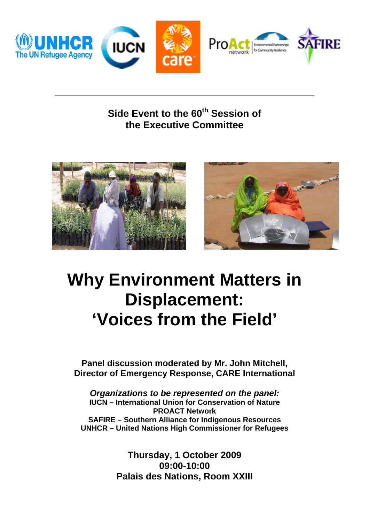

**Side Event to the 60<sup>th</sup> Session of the Executive Committee** 





## **Why Environment Matters in Displacement: 'Voices from the Field'**

**Panel discussion moderated by Mr. John Mitchell, Director of Emergency Response, CARE International** 

*Organizations to be represented on the panel:*  **IUCN – International Union for Conservation of Nature PROACT Network SAFIRE – Southern Alliance for Indigenous Resources UNHCR – United Nations High Commissioner for Refugees** 

> **Thursday, 1 October 2009 09:00-10:00 Palais des Nations, Room XXIII**